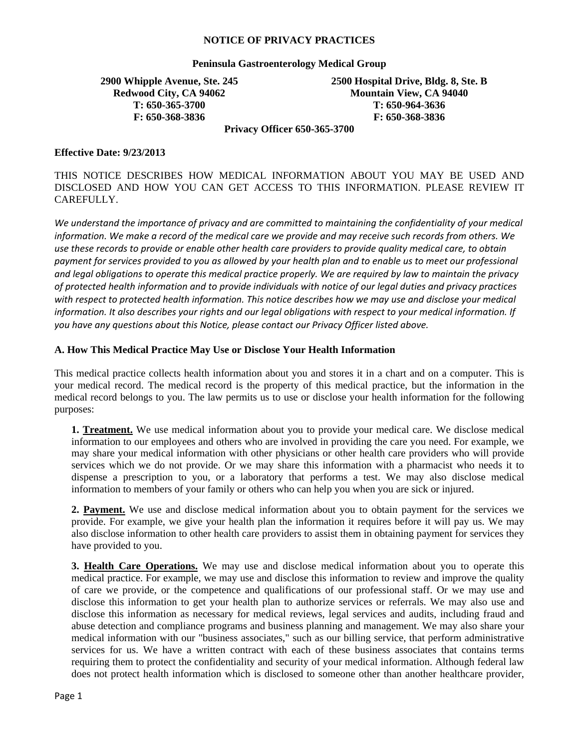#### **NOTICE OF PRIVACY PRACTICES**

### **Peninsula Gastroenterology Medical Group**

# **2900 Whipple Avenue, Ste. 245 Redwood City, CA 94062 T: 650-365-3700 F: 650-368-3836**

**2500 Hospital Drive, Bldg. 8, Ste. B Mountain View, CA 94040 T: 650-964-3636 F: 650-368-3836** 

**Privacy Officer 650-365-3700** 

### **Effective Date: 9/23/2013**

THIS NOTICE DESCRIBES HOW MEDICAL INFORMATION ABOUT YOU MAY BE USED AND DISCLOSED AND HOW YOU CAN GET ACCESS TO THIS INFORMATION. PLEASE REVIEW IT CAREFULLY.

*We understand the importance of privacy and are committed to maintaining the confidentiality of your medical information. We make a record of the medical care we provide and may receive such records from others. We use these records to provide or enable other health care providers to provide quality medical care, to obtain*  payment for services provided to you as allowed by your health plan and to enable us to meet our professional *and legal obligations to operate this medical practice properly. We are required by law to maintain the privacy of protected health information and to provide individuals with notice of our legal duties and privacy practices*  with respect to protected health information. This notice describes how we may use and disclose your medical *information. It also describes your rights and our legal obligations with respect to your medical information. If you have any questions about this Notice, please contact our Privacy Officer listed above.* 

### **A. How This Medical Practice May Use or Disclose Your Health Information**

This medical practice collects health information about you and stores it in a chart and on a computer. This is your medical record. The medical record is the property of this medical practice, but the information in the medical record belongs to you. The law permits us to use or disclose your health information for the following purposes:

**1. Treatment.** We use medical information about you to provide your medical care. We disclose medical information to our employees and others who are involved in providing the care you need. For example, we may share your medical information with other physicians or other health care providers who will provide services which we do not provide. Or we may share this information with a pharmacist who needs it to dispense a prescription to you, or a laboratory that performs a test. We may also disclose medical information to members of your family or others who can help you when you are sick or injured.

**2. Payment.** We use and disclose medical information about you to obtain payment for the services we provide. For example, we give your health plan the information it requires before it will pay us. We may also disclose information to other health care providers to assist them in obtaining payment for services they have provided to you.

**3. Health Care Operations.** We may use and disclose medical information about you to operate this medical practice. For example, we may use and disclose this information to review and improve the quality of care we provide, or the competence and qualifications of our professional staff. Or we may use and disclose this information to get your health plan to authorize services or referrals. We may also use and disclose this information as necessary for medical reviews, legal services and audits, including fraud and abuse detection and compliance programs and business planning and management. We may also share your medical information with our "business associates," such as our billing service, that perform administrative services for us. We have a written contract with each of these business associates that contains terms requiring them to protect the confidentiality and security of your medical information. Although federal law does not protect health information which is disclosed to someone other than another healthcare provider,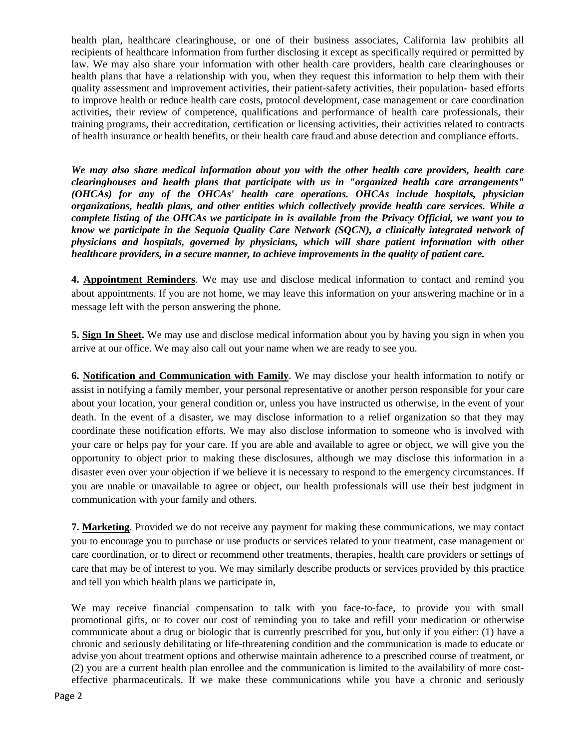health plan, healthcare clearinghouse, or one of their business associates, California law prohibits all recipients of healthcare information from further disclosing it except as specifically required or permitted by law. We may also share your information with other health care providers, health care clearinghouses or health plans that have a relationship with you, when they request this information to help them with their quality assessment and improvement activities, their patient-safety activities, their population- based efforts to improve health or reduce health care costs, protocol development, case management or care coordination activities, their review of competence, qualifications and performance of health care professionals, their training programs, their accreditation, certification or licensing activities, their activities related to contracts of health insurance or health benefits, or their health care fraud and abuse detection and compliance efforts.

*We may also share medical information about you with the other health care providers, health care clearinghouses and health plans that participate with us in "organized health care arrangements" (OHCAs) for any of the OHCAs' health care operations. OHCAs include hospitals, physician organizations, health plans, and other entities which collectively provide health care services. While a complete listing of the OHCAs we participate in is available from the Privacy Official, we want you to know we participate in the Sequoia Quality Care Network (SQCN), a clinically integrated network of physicians and hospitals, governed by physicians, which will share patient information with other healthcare providers, in a secure manner, to achieve improvements in the quality of patient care.* 

**4. Appointment Reminders**. We may use and disclose medical information to contact and remind you about appointments. If you are not home, we may leave this information on your answering machine or in a message left with the person answering the phone.

**5. Sign In Sheet.** We may use and disclose medical information about you by having you sign in when you arrive at our office. We may also call out your name when we are ready to see you.

**6. Notification and Communication with Family**. We may disclose your health information to notify or assist in notifying a family member, your personal representative or another person responsible for your care about your location, your general condition or, unless you have instructed us otherwise, in the event of your death. In the event of a disaster, we may disclose information to a relief organization so that they may coordinate these notification efforts. We may also disclose information to someone who is involved with your care or helps pay for your care. If you are able and available to agree or object, we will give you the opportunity to object prior to making these disclosures, although we may disclose this information in a disaster even over your objection if we believe it is necessary to respond to the emergency circumstances. If you are unable or unavailable to agree or object, our health professionals will use their best judgment in communication with your family and others.

**7. Marketing**. Provided we do not receive any payment for making these communications, we may contact you to encourage you to purchase or use products or services related to your treatment, case management or care coordination, or to direct or recommend other treatments, therapies, health care providers or settings of care that may be of interest to you. We may similarly describe products or services provided by this practice and tell you which health plans we participate in,

We may receive financial compensation to talk with you face-to-face, to provide you with small promotional gifts, or to cover our cost of reminding you to take and refill your medication or otherwise communicate about a drug or biologic that is currently prescribed for you, but only if you either: (1) have a chronic and seriously debilitating or life-threatening condition and the communication is made to educate or advise you about treatment options and otherwise maintain adherence to a prescribed course of treatment, or (2) you are a current health plan enrollee and the communication is limited to the availability of more costeffective pharmaceuticals. If we make these communications while you have a chronic and seriously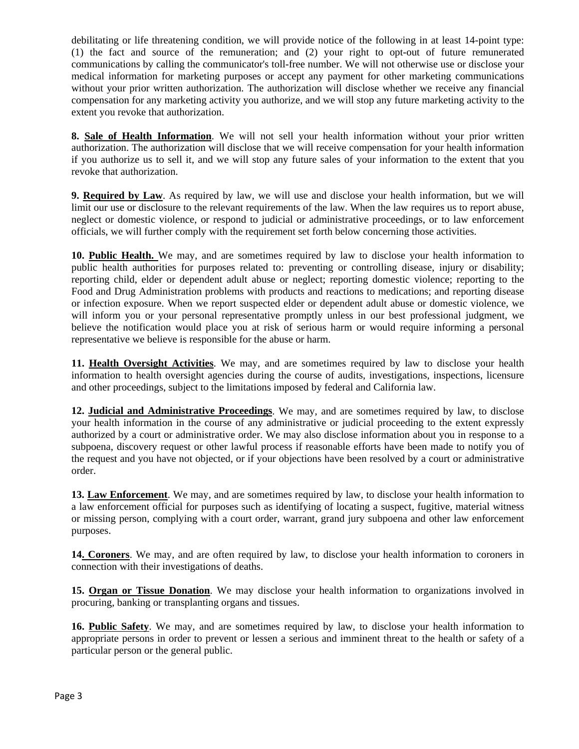debilitating or life threatening condition, we will provide notice of the following in at least 14-point type: (1) the fact and source of the remuneration; and (2) your right to opt-out of future remunerated communications by calling the communicator's toll-free number. We will not otherwise use or disclose your medical information for marketing purposes or accept any payment for other marketing communications without your prior written authorization. The authorization will disclose whether we receive any financial compensation for any marketing activity you authorize, and we will stop any future marketing activity to the extent you revoke that authorization.

**8. Sale of Health Information**. We will not sell your health information without your prior written authorization. The authorization will disclose that we will receive compensation for your health information if you authorize us to sell it, and we will stop any future sales of your information to the extent that you revoke that authorization.

**9. Required by Law**. As required by law, we will use and disclose your health information, but we will limit our use or disclosure to the relevant requirements of the law. When the law requires us to report abuse, neglect or domestic violence, or respond to judicial or administrative proceedings, or to law enforcement officials, we will further comply with the requirement set forth below concerning those activities.

**10. Public Health.** We may, and are sometimes required by law to disclose your health information to public health authorities for purposes related to: preventing or controlling disease, injury or disability; reporting child, elder or dependent adult abuse or neglect; reporting domestic violence; reporting to the Food and Drug Administration problems with products and reactions to medications; and reporting disease or infection exposure. When we report suspected elder or dependent adult abuse or domestic violence, we will inform you or your personal representative promptly unless in our best professional judgment, we believe the notification would place you at risk of serious harm or would require informing a personal representative we believe is responsible for the abuse or harm.

**11. Health Oversight Activities**. We may, and are sometimes required by law to disclose your health information to health oversight agencies during the course of audits, investigations, inspections, licensure and other proceedings, subject to the limitations imposed by federal and California law.

**12. Judicial and Administrative Proceedings**. We may, and are sometimes required by law, to disclose your health information in the course of any administrative or judicial proceeding to the extent expressly authorized by a court or administrative order. We may also disclose information about you in response to a subpoena, discovery request or other lawful process if reasonable efforts have been made to notify you of the request and you have not objected, or if your objections have been resolved by a court or administrative order.

**13. Law Enforcement**. We may, and are sometimes required by law, to disclose your health information to a law enforcement official for purposes such as identifying of locating a suspect, fugitive, material witness or missing person, complying with a court order, warrant, grand jury subpoena and other law enforcement purposes.

**14. Coroners**. We may, and are often required by law, to disclose your health information to coroners in connection with their investigations of deaths.

**15. Organ or Tissue Donation**. We may disclose your health information to organizations involved in procuring, banking or transplanting organs and tissues.

**16. Public Safety**. We may, and are sometimes required by law, to disclose your health information to appropriate persons in order to prevent or lessen a serious and imminent threat to the health or safety of a particular person or the general public.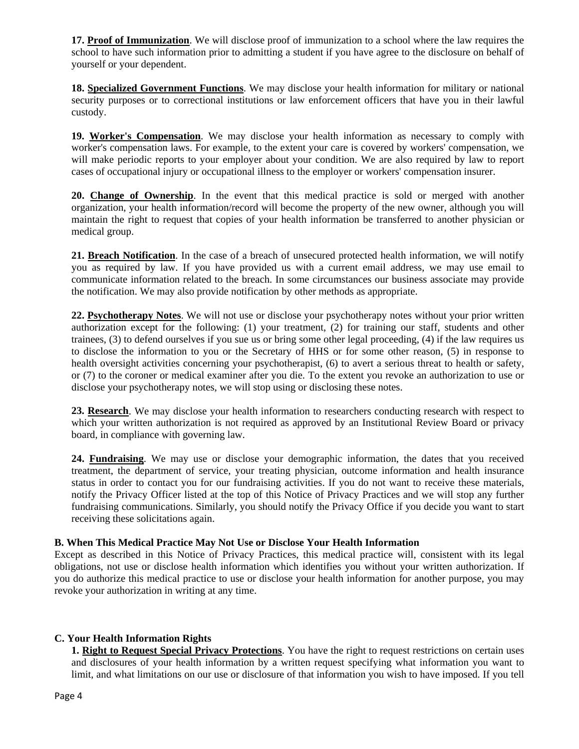**17. Proof of Immunization**. We will disclose proof of immunization to a school where the law requires the school to have such information prior to admitting a student if you have agree to the disclosure on behalf of yourself or your dependent.

**18. Specialized Government Functions**. We may disclose your health information for military or national security purposes or to correctional institutions or law enforcement officers that have you in their lawful custody.

**19. Worker's Compensation**. We may disclose your health information as necessary to comply with worker's compensation laws. For example, to the extent your care is covered by workers' compensation, we will make periodic reports to your employer about your condition. We are also required by law to report cases of occupational injury or occupational illness to the employer or workers' compensation insurer.

**20. Change of Ownership**. In the event that this medical practice is sold or merged with another organization, your health information/record will become the property of the new owner, although you will maintain the right to request that copies of your health information be transferred to another physician or medical group.

**21. Breach Notification**. In the case of a breach of unsecured protected health information, we will notify you as required by law. If you have provided us with a current email address, we may use email to communicate information related to the breach. In some circumstances our business associate may provide the notification. We may also provide notification by other methods as appropriate.

**22. Psychotherapy Notes**. We will not use or disclose your psychotherapy notes without your prior written authorization except for the following: (1) your treatment, (2) for training our staff, students and other trainees, (3) to defend ourselves if you sue us or bring some other legal proceeding, (4) if the law requires us to disclose the information to you or the Secretary of HHS or for some other reason, (5) in response to health oversight activities concerning your psychotherapist, (6) to avert a serious threat to health or safety, or (7) to the coroner or medical examiner after you die. To the extent you revoke an authorization to use or disclose your psychotherapy notes, we will stop using or disclosing these notes.

**23. Research**. We may disclose your health information to researchers conducting research with respect to which your written authorization is not required as approved by an Institutional Review Board or privacy board, in compliance with governing law.

**24. Fundraising**. We may use or disclose your demographic information, the dates that you received treatment, the department of service, your treating physician, outcome information and health insurance status in order to contact you for our fundraising activities. If you do not want to receive these materials, notify the Privacy Officer listed at the top of this Notice of Privacy Practices and we will stop any further fundraising communications. Similarly, you should notify the Privacy Office if you decide you want to start receiving these solicitations again.

## **B. When This Medical Practice May Not Use or Disclose Your Health Information**

Except as described in this Notice of Privacy Practices, this medical practice will, consistent with its legal obligations, not use or disclose health information which identifies you without your written authorization. If you do authorize this medical practice to use or disclose your health information for another purpose, you may revoke your authorization in writing at any time.

# **C. Your Health Information Rights**

**1. Right to Request Special Privacy Protections**. You have the right to request restrictions on certain uses and disclosures of your health information by a written request specifying what information you want to limit, and what limitations on our use or disclosure of that information you wish to have imposed. If you tell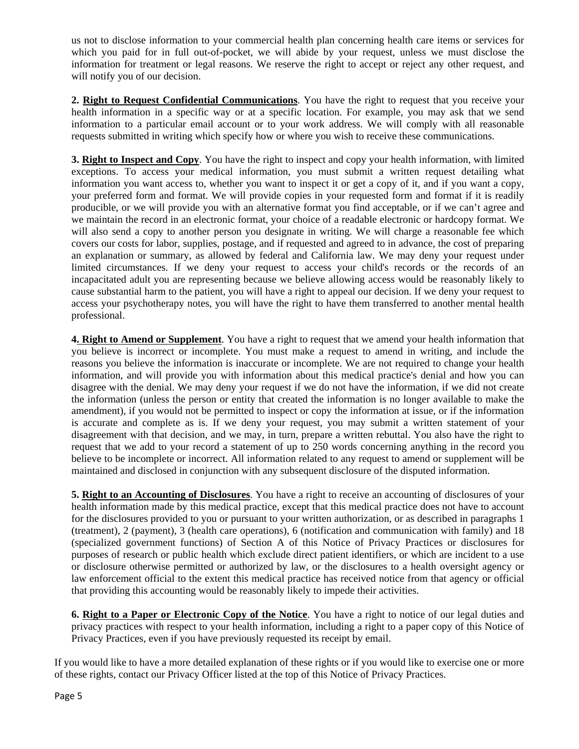us not to disclose information to your commercial health plan concerning health care items or services for which you paid for in full out-of-pocket, we will abide by your request, unless we must disclose the information for treatment or legal reasons. We reserve the right to accept or reject any other request, and will notify you of our decision.

**2. Right to Request Confidential Communications**. You have the right to request that you receive your health information in a specific way or at a specific location. For example, you may ask that we send information to a particular email account or to your work address. We will comply with all reasonable requests submitted in writing which specify how or where you wish to receive these communications.

**3. Right to Inspect and Copy**. You have the right to inspect and copy your health information, with limited exceptions. To access your medical information, you must submit a written request detailing what information you want access to, whether you want to inspect it or get a copy of it, and if you want a copy, your preferred form and format. We will provide copies in your requested form and format if it is readily producible, or we will provide you with an alternative format you find acceptable, or if we can't agree and we maintain the record in an electronic format, your choice of a readable electronic or hardcopy format. We will also send a copy to another person you designate in writing. We will charge a reasonable fee which covers our costs for labor, supplies, postage, and if requested and agreed to in advance, the cost of preparing an explanation or summary, as allowed by federal and California law. We may deny your request under limited circumstances. If we deny your request to access your child's records or the records of an incapacitated adult you are representing because we believe allowing access would be reasonably likely to cause substantial harm to the patient, you will have a right to appeal our decision. If we deny your request to access your psychotherapy notes, you will have the right to have them transferred to another mental health professional.

**4. Right to Amend or Supplement**. You have a right to request that we amend your health information that you believe is incorrect or incomplete. You must make a request to amend in writing, and include the reasons you believe the information is inaccurate or incomplete. We are not required to change your health information, and will provide you with information about this medical practice's denial and how you can disagree with the denial. We may deny your request if we do not have the information, if we did not create the information (unless the person or entity that created the information is no longer available to make the amendment), if you would not be permitted to inspect or copy the information at issue, or if the information is accurate and complete as is. If we deny your request, you may submit a written statement of your disagreement with that decision, and we may, in turn, prepare a written rebuttal. You also have the right to request that we add to your record a statement of up to 250 words concerning anything in the record you believe to be incomplete or incorrect. All information related to any request to amend or supplement will be maintained and disclosed in conjunction with any subsequent disclosure of the disputed information.

**5. Right to an Accounting of Disclosures**. You have a right to receive an accounting of disclosures of your health information made by this medical practice, except that this medical practice does not have to account for the disclosures provided to you or pursuant to your written authorization, or as described in paragraphs 1 (treatment), 2 (payment), 3 (health care operations), 6 (notification and communication with family) and 18 (specialized government functions) of Section A of this Notice of Privacy Practices or disclosures for purposes of research or public health which exclude direct patient identifiers, or which are incident to a use or disclosure otherwise permitted or authorized by law, or the disclosures to a health oversight agency or law enforcement official to the extent this medical practice has received notice from that agency or official that providing this accounting would be reasonably likely to impede their activities.

**6. Right to a Paper or Electronic Copy of the Notice**. You have a right to notice of our legal duties and privacy practices with respect to your health information, including a right to a paper copy of this Notice of Privacy Practices, even if you have previously requested its receipt by email.

If you would like to have a more detailed explanation of these rights or if you would like to exercise one or more of these rights, contact our Privacy Officer listed at the top of this Notice of Privacy Practices.